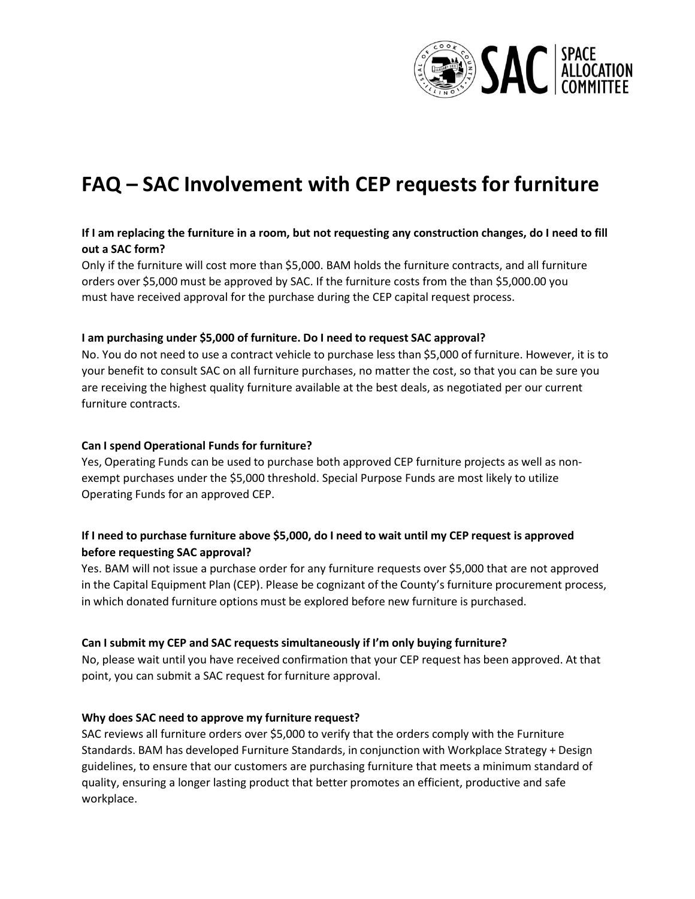

# **FAQ – SAC Involvement with CEP requests for furniture**

# **If I am replacing the furniture in a room, but not requesting any construction changes, do I need to fill out a SAC form?**

Only if the furniture will cost more than \$5,000. BAM holds the furniture contracts, and all furniture orders over \$5,000 must be approved by SAC. If the furniture costs from the than \$5,000.00 you must have received approval for the purchase during the CEP capital request process.

#### **I am purchasing under \$5,000 of furniture. Do I need to request SAC approval?**

No. You do not need to use a contract vehicle to purchase less than \$5,000 of furniture. However, it is to your benefit to consult SAC on all furniture purchases, no matter the cost, so that you can be sure you are receiving the highest quality furniture available at the best deals, as negotiated per our current furniture contracts.

#### **Can I spend Operational Funds for furniture?**

Yes, Operating Funds can be used to purchase both approved CEP furniture projects as well as nonexempt purchases under the \$5,000 threshold. Special Purpose Funds are most likely to utilize Operating Funds for an approved CEP.

## If I need to purchase furniture above \$5,000, do I need to wait until my CEP request is approved **before requesting SAC approval?**

Yes. BAM will not issue a purchase order for any furniture requests over \$5,000 that are not approved in the Capital Equipment Plan (CEP). Please be cognizant of the County's furniture procurement process, in which donated furniture options must be explored before new furniture is purchased.

### **Can I submit my CEP and SAC requests simultaneously if I'm only buying furniture?**

No, please wait until you have received confirmation that your CEP request has been approved. At that point, you can submit a SAC request for furniture approval.

### **Why does SAC need to approve my furniture request?**

SAC reviews all furniture orders over \$5,000 to verify that the orders comply with the Furniture Standards. BAM has developed Furniture Standards, in conjunction with Workplace Strategy + Design guidelines, to ensure that our customers are purchasing furniture that meets a minimum standard of quality, ensuring a longer lasting product that better promotes an efficient, productive and safe workplace.